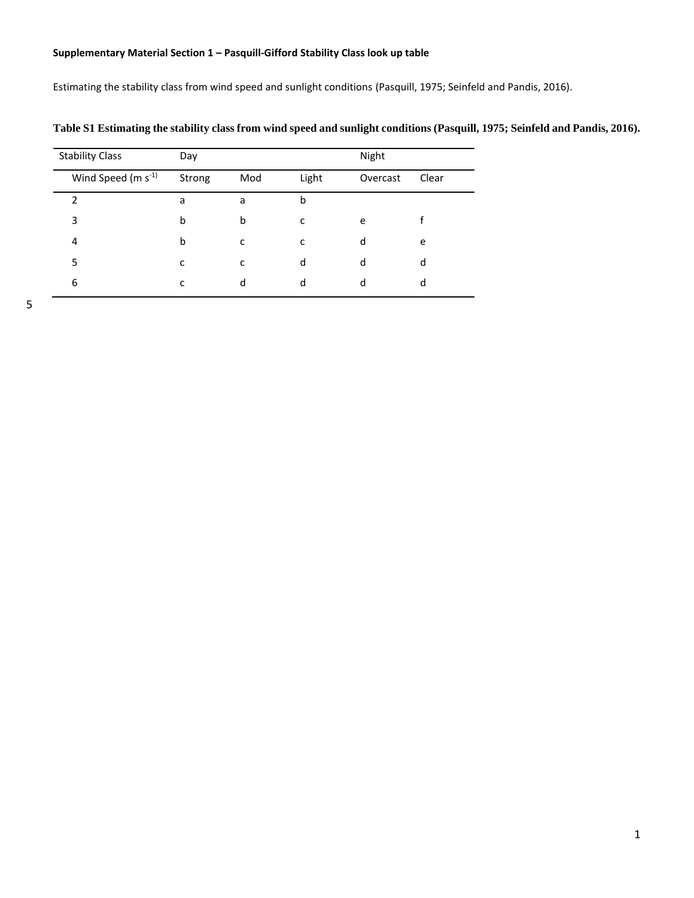## **Supplementary Material Section 1 – Pasquill-Gifford Stability Class look up table**

Estimating the stability class from wind speed and sunlight conditions (Pasquill, 1975; Seinfeld and Pandis, 2016).

| <b>Stability Class</b>  | Day    |     |       | Night    |       |  |
|-------------------------|--------|-----|-------|----------|-------|--|
| Wind Speed $(m s^{-1})$ | Strong | Mod | Light | Overcast | Clear |  |
| 2                       | a      | a   | b     |          |       |  |
| 3                       | b      | b   | c     | e        |       |  |
| 4                       | b      | с   | с     | d        | e     |  |
| 5                       | c      | c   | d     | d        | d     |  |
| 6                       | c      | d   | d     | d        | d     |  |

**Table S1 Estimating the stability class from wind speed and sunlight conditions (Pasquill, 1975; Seinfeld and Pandis, 2016).**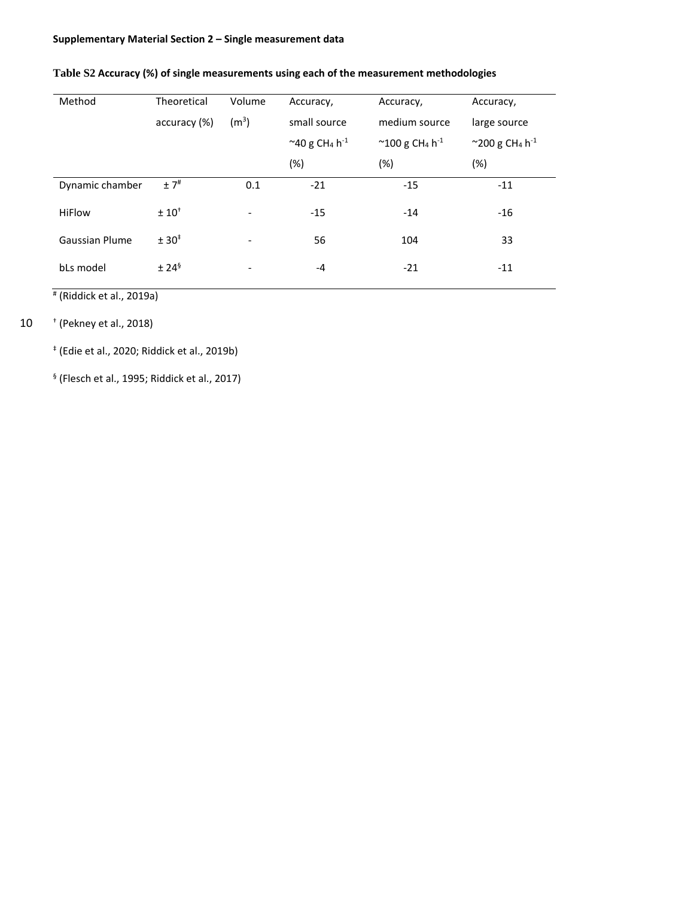## **Supplementary Material Section 2 – Single measurement data**

| Method                | Theoretical       | Volume                   | Accuracy,                                                                                         | Accuracy, | Accuracy,                                       |  |
|-----------------------|-------------------|--------------------------|---------------------------------------------------------------------------------------------------|-----------|-------------------------------------------------|--|
|                       | accuracy (%)      | (m <sup>3</sup> )        | small source<br>medium source                                                                     |           | large source                                    |  |
|                       |                   |                          | $^{\sim}$ 40 g CH <sub>4</sub> h <sup>-1</sup><br>$^{\sim}$ 100 g CH <sub>4</sub> h <sup>-1</sup> |           | $^{\sim}$ 200 g CH <sub>4</sub> h <sup>-1</sup> |  |
|                       |                   |                          | (%)                                                                                               | $(\%)$    | $(\%)$                                          |  |
| Dynamic chamber       | $±7$ <sup>#</sup> | 0.1                      | $-21$                                                                                             | $-15$     | $-11$                                           |  |
| <b>HiFlow</b>         | $± 10+$           | $\overline{\phantom{a}}$ | $-15$                                                                                             | $-14$     | $-16$                                           |  |
| <b>Gaussian Plume</b> | ± 30 <sup>‡</sup> | $\overline{\phantom{a}}$ | 56                                                                                                | 104       | 33                                              |  |
| bLs model             | $± 24^9$          |                          | $-4$                                                                                              | $-21$     | $-11$                                           |  |

## **Table S2 Accuracy (%) of single measurements using each of the measurement methodologies**

# (Riddick et al., 2019a)

# † 10 (Pekney et al., 2018)

‡ (Edie et al., 2020; Riddick et al., 2019b)

§ (Flesch et al., 1995; Riddick et al., 2017)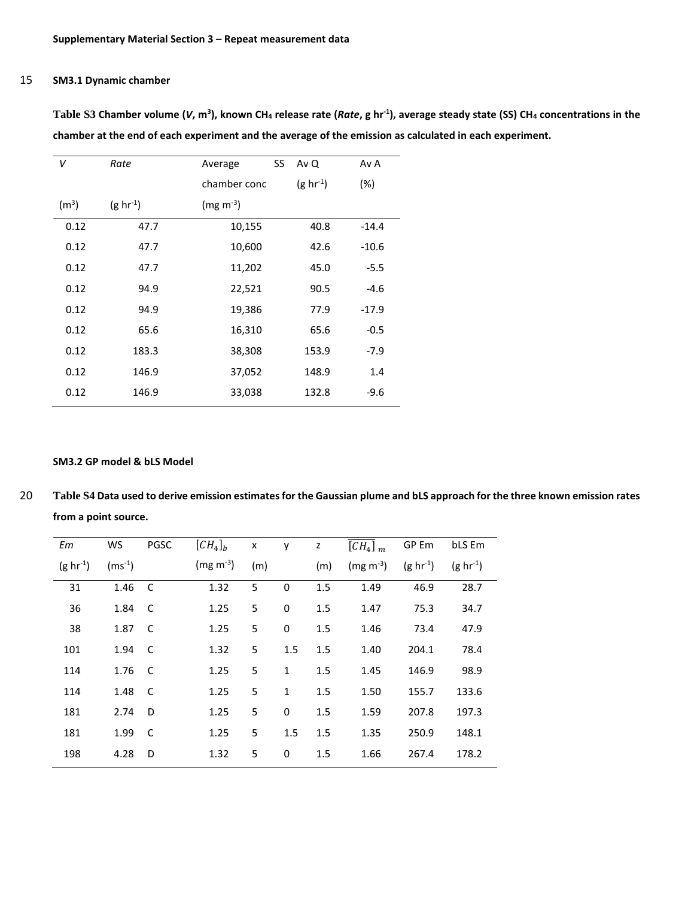### 15 **SM3.1 Dynamic chamber**

| v                 | Rate             | SS<br>Average | Av Q             | Av A    |
|-------------------|------------------|---------------|------------------|---------|
|                   |                  | chamber conc  | $(g \, hr^{-1})$ | $(\%)$  |
| (m <sup>3</sup> ) | $(g \, hr^{-1})$ | $(mg m^{-3})$ |                  |         |
| 0.12              | 47.7             | 10,155        | 40.8             | $-14.4$ |
| 0.12              | 47.7             | 10,600        | 42.6             | $-10.6$ |
| 0.12              | 47.7             | 11,202        | 45.0             | $-5.5$  |
| 0.12              | 94.9             | 22,521        | 90.5             | $-4.6$  |
| 0.12              | 94.9             | 19,386        | 77.9             | $-17.9$ |
| 0.12              | 65.6             | 16,310        | 65.6             | $-0.5$  |
| 0.12              | 183.3            | 38,308        | 153.9            | $-7.9$  |
| 0.12              | 146.9            | 37,052        | 148.9            | 1.4     |
| 0.12              | 146.9            | 33,038        | 132.8            | $-9.6$  |

**Table S3 Chamber volume (***V***, m<sup>3</sup> ), known CH<sup>4</sup> release rate (***Rate***, g hr-1 ), average steady state (SS) CH<sup>4</sup> concentrations in the chamber at the end of each experiment and the average of the emission as calculated in each experiment.**

#### **SM3.2 GP model & bLS Model**

20 **Table S4 Data used to derive emission estimates for the Gaussian plume and bLS approach for the three known emission rates from a point source.**

| Em               | WS          | <b>PGSC</b>  | $\left[CH_4\right]_b$ | $\pmb{\mathsf{x}}$ | y            | $\mathsf{z}$ | $\overline{\left[CH_{4}\right]}$ <sub>m</sub> | GP Em            | bLS Em           |
|------------------|-------------|--------------|-----------------------|--------------------|--------------|--------------|-----------------------------------------------|------------------|------------------|
| $(g \, hr^{-1})$ | $(ms^{-1})$ |              | $(mg m^{-3})$         | (m)                |              | (m)          | $(mg m^{-3})$                                 | $(g \, hr^{-1})$ | $(g \, hr^{-1})$ |
| 31               | 1.46        | - C          | 1.32                  | 5                  | 0            | 1.5          | 1.49                                          | 46.9             | 28.7             |
| 36               | 1.84        | - C          | 1.25                  | 5                  | $\mathbf 0$  | 1.5          | 1.47                                          | 75.3             | 34.7             |
| 38               | 1.87        | - C          | 1.25                  | 5                  | 0            | 1.5          | 1.46                                          | 73.4             | 47.9             |
| 101              | 1.94        | - C          | 1.32                  | 5                  | 1.5          | 1.5          | 1.40                                          | 204.1            | 78.4             |
| 114              | 1.76        | - C          | 1.25                  | 5                  | $\mathbf{1}$ | 1.5          | 1.45                                          | 146.9            | 98.9             |
| 114              | 1.48        | <sub>c</sub> | 1.25                  | 5                  | $\mathbf{1}$ | 1.5          | 1.50                                          | 155.7            | 133.6            |
| 181              | 2.74        | D            | 1.25                  | 5                  | 0            | 1.5          | 1.59                                          | 207.8            | 197.3            |
| 181              | 1.99        | C            | 1.25                  | 5                  | 1.5          | 1.5          | 1.35                                          | 250.9            | 148.1            |
| 198              | 4.28        | D            | 1.32                  | 5                  | 0            | 1.5          | 1.66                                          | 267.4            | 178.2            |